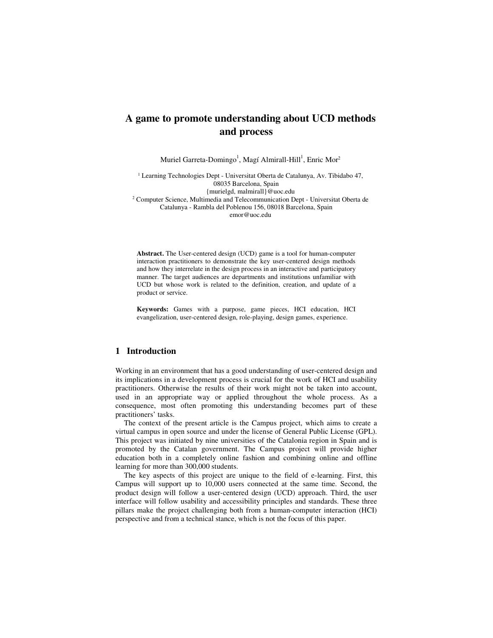# **A game to promote understanding about UCD methods and process**

Muriel Garreta-Domingo<sup>1</sup>, Magí Almirall-Hill<sup>1</sup>, Enric Mor<sup>2</sup>

1 Learning Technologies Dept - Universitat Oberta de Catalunya, Av. Tibidabo 47, 08035 Barcelona, Spain {murielgd, malmirall}@uoc.edu <sup>2</sup> Computer Science, Multimedia and Telecommunication Dept - Universitat Oberta de Catalunya - Rambla del Poblenou 156, 08018 Barcelona, Spain

emor@uoc.edu

**Abstract.** The User-centered design (UCD) game is a tool for human-computer interaction practitioners to demonstrate the key user-centered design methods and how they interrelate in the design process in an interactive and participatory manner. The target audiences are departments and institutions unfamiliar with UCD but whose work is related to the definition, creation, and update of a product or service.

**Keywords:** Games with a purpose, game pieces, HCI education, HCI evangelization, user-centered design, role-playing, design games, experience.

## **1 Introduction**

Working in an environment that has a good understanding of user-centered design and its implications in a development process is crucial for the work of HCI and usability practitioners. Otherwise the results of their work might not be taken into account, used in an appropriate way or applied throughout the whole process. As a consequence, most often promoting this understanding becomes part of these practitioners' tasks.

The context of the present article is the Campus project, which aims to create a virtual campus in open source and under the license of General Public License (GPL). This project was initiated by nine universities of the Catalonia region in Spain and is promoted by the Catalan government. The Campus project will provide higher education both in a completely online fashion and combining online and offline learning for more than 300,000 students.

The key aspects of this project are unique to the field of e-learning. First, this Campus will support up to 10,000 users connected at the same time. Second, the product design will follow a user-centered design (UCD) approach. Third, the user interface will follow usability and accessibility principles and standards. These three pillars make the project challenging both from a human-computer interaction (HCI) perspective and from a technical stance, which is not the focus of this paper.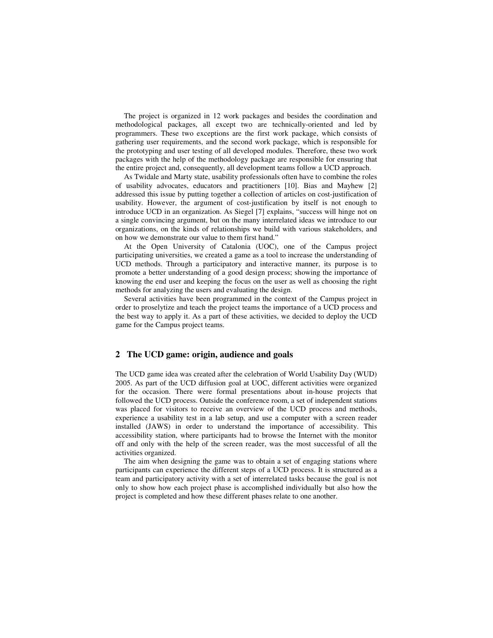The project is organized in 12 work packages and besides the coordination and methodological packages, all except two are technically-oriented and led by programmers. These two exceptions are the first work package, which consists of gathering user requirements, and the second work package, which is responsible for the prototyping and user testing of all developed modules. Therefore, these two work packages with the help of the methodology package are responsible for ensuring that the entire project and, consequently, all development teams follow a UCD approach.

As Twidale and Marty state, usability professionals often have to combine the roles of usability advocates, educators and practitioners [10]. Bias and Mayhew [2] addressed this issue by putting together a collection of articles on cost-justification of usability. However, the argument of cost-justification by itself is not enough to introduce UCD in an organization. As Siegel [7] explains, "success will hinge not on a single convincing argument, but on the many interrelated ideas we introduce to our organizations, on the kinds of relationships we build with various stakeholders, and on how we demonstrate our value to them first hand."

At the Open University of Catalonia (UOC), one of the Campus project participating universities, we created a game as a tool to increase the understanding of UCD methods. Through a participatory and interactive manner, its purpose is to promote a better understanding of a good design process; showing the importance of knowing the end user and keeping the focus on the user as well as choosing the right methods for analyzing the users and evaluating the design.

Several activities have been programmed in the context of the Campus project in order to proselytize and teach the project teams the importance of a UCD process and the best way to apply it. As a part of these activities, we decided to deploy the UCD game for the Campus project teams.

# **2 The UCD game: origin, audience and goals**

The UCD game idea was created after the celebration of World Usability Day (WUD) 2005. As part of the UCD diffusion goal at UOC, different activities were organized for the occasion. There were formal presentations about in-house projects that followed the UCD process. Outside the conference room, a set of independent stations was placed for visitors to receive an overview of the UCD process and methods, experience a usability test in a lab setup, and use a computer with a screen reader installed (JAWS) in order to understand the importance of accessibility. This accessibility station, where participants had to browse the Internet with the monitor off and only with the help of the screen reader, was the most successful of all the activities organized.

The aim when designing the game was to obtain a set of engaging stations where participants can experience the different steps of a UCD process. It is structured as a team and participatory activity with a set of interrelated tasks because the goal is not only to show how each project phase is accomplished individually but also how the project is completed and how these different phases relate to one another.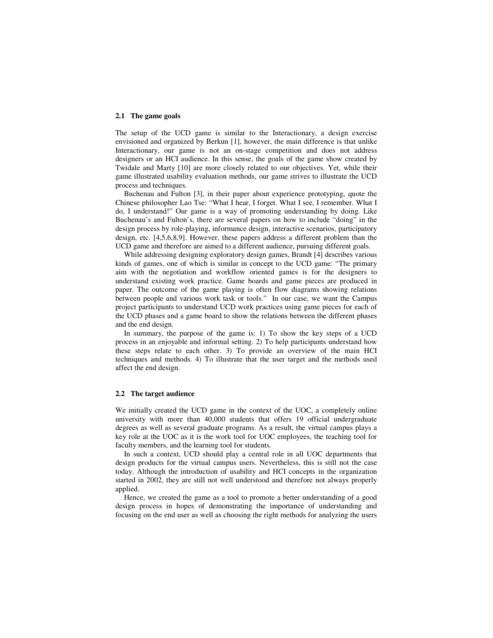# **2.1 The game goals**

The setup of the UCD game is similar to the Interactionary, a design exercise envisioned and organized by Berkun [1], however, the main difference is that unlike Interactionary, our game is not an on-stage competition and does not address designers or an HCI audience. In this sense, the goals of the game show created by Twidale and Marty [10] are more closely related to our objectives. Yet, while their game illustrated usability evaluation methods, our game strives to illustrate the UCD process and techniques.

Buchenau and Fulton [3], in their paper about experience prototyping, quote the Chinese philosopher Lao Tse: "What I hear, I forget. What I see, I remember. What I do, I understand!" Our game is a way of promoting understanding by doing. Like Buchenau's and Fulton's, there are several papers on how to include "doing" in the design process by role-playing, informance design, interactive scenarios, participatory design, etc. [4,5,6,8,9]. However, these papers address a different problem than the UCD game and therefore are aimed to a different audience, pursuing different goals.

While addressing designing exploratory design games, Brandt [4] describes various kinds of games, one of which is similar in concept to the UCD game: "The primary aim with the negotiation and workflow oriented games is for the designers to understand existing work practice. Game boards and game pieces are produced in paper. The outcome of the game playing is often flow diagrams showing relations between people and various work task or tools." In our case, we want the Campus project participants to understand UCD work practices using game pieces for each of the UCD phases and a game board to show the relations between the different phases and the end design.

In summary, the purpose of the game is: 1) To show the key steps of a UCD process in an enjoyable and informal setting. 2) To help participants understand how these steps relate to each other. 3) To provide an overview of the main HCI techniques and methods. 4) To illustrate that the user target and the methods used affect the end design.

## **2.2 The target audience**

We initially created the UCD game in the context of the UOC, a completely online university with more than 40,000 students that offers 19 official undergraduate degrees as well as several graduate programs. As a result, the virtual campus plays a key role at the UOC as it is the work tool for UOC employees, the teaching tool for faculty members, and the learning tool for students.

In such a context, UCD should play a central role in all UOC departments that design products for the virtual campus users. Nevertheless, this is still not the case today. Although the introduction of usability and HCI concepts in the organization started in 2002, they are still not well understood and therefore not always properly applied.

Hence, we created the game as a tool to promote a better understanding of a good design process in hopes of demonstrating the importance of understanding and focusing on the end user as well as choosing the right methods for analyzing the users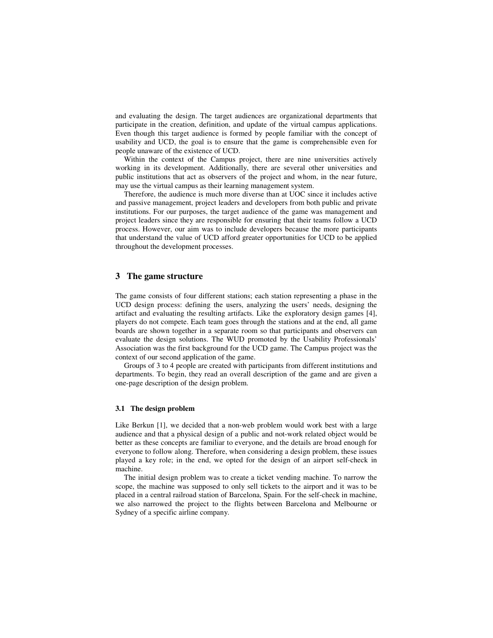and evaluating the design. The target audiences are organizational departments that participate in the creation, definition, and update of the virtual campus applications. Even though this target audience is formed by people familiar with the concept of usability and UCD, the goal is to ensure that the game is comprehensible even for people unaware of the existence of UCD.

Within the context of the Campus project, there are nine universities actively working in its development. Additionally, there are several other universities and public institutions that act as observers of the project and whom, in the near future, may use the virtual campus as their learning management system.

Therefore, the audience is much more diverse than at UOC since it includes active and passive management, project leaders and developers from both public and private institutions. For our purposes, the target audience of the game was management and project leaders since they are responsible for ensuring that their teams follow a UCD process. However, our aim was to include developers because the more participants that understand the value of UCD afford greater opportunities for UCD to be applied throughout the development processes.

## **3 The game structure**

The game consists of four different stations; each station representing a phase in the UCD design process: defining the users, analyzing the users' needs, designing the artifact and evaluating the resulting artifacts. Like the exploratory design games [4], players do not compete. Each team goes through the stations and at the end, all game boards are shown together in a separate room so that participants and observers can evaluate the design solutions. The WUD promoted by the Usability Professionals' Association was the first background for the UCD game. The Campus project was the context of our second application of the game.

Groups of 3 to 4 people are created with participants from different institutions and departments. To begin, they read an overall description of the game and are given a one-page description of the design problem.

## **3.1 The design problem**

Like Berkun [1], we decided that a non-web problem would work best with a large audience and that a physical design of a public and not-work related object would be better as these concepts are familiar to everyone, and the details are broad enough for everyone to follow along. Therefore, when considering a design problem, these issues played a key role; in the end, we opted for the design of an airport self-check in machine.

The initial design problem was to create a ticket vending machine. To narrow the scope, the machine was supposed to only sell tickets to the airport and it was to be placed in a central railroad station of Barcelona, Spain. For the self-check in machine, we also narrowed the project to the flights between Barcelona and Melbourne or Sydney of a specific airline company.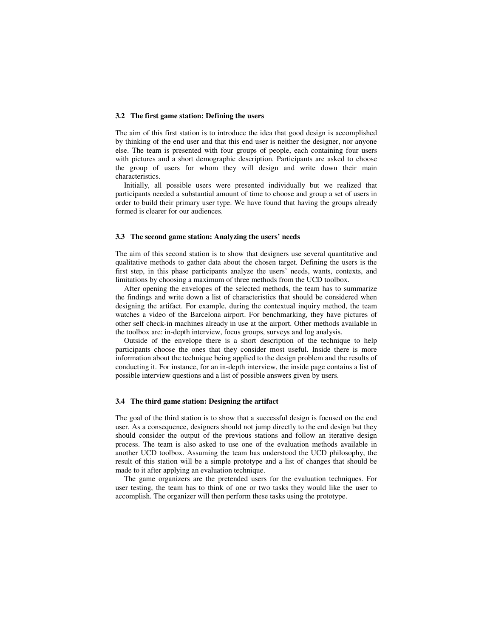#### **3.2 The first game station: Defining the users**

The aim of this first station is to introduce the idea that good design is accomplished by thinking of the end user and that this end user is neither the designer, nor anyone else. The team is presented with four groups of people, each containing four users with pictures and a short demographic description. Participants are asked to choose the group of users for whom they will design and write down their main characteristics.

Initially, all possible users were presented individually but we realized that participants needed a substantial amount of time to choose and group a set of users in order to build their primary user type. We have found that having the groups already formed is clearer for our audiences.

#### **3.3 The second game station: Analyzing the users' needs**

The aim of this second station is to show that designers use several quantitative and qualitative methods to gather data about the chosen target. Defining the users is the first step, in this phase participants analyze the users' needs, wants, contexts, and limitations by choosing a maximum of three methods from the UCD toolbox.

After opening the envelopes of the selected methods, the team has to summarize the findings and write down a list of characteristics that should be considered when designing the artifact. For example, during the contextual inquiry method, the team watches a video of the Barcelona airport. For benchmarking, they have pictures of other self check-in machines already in use at the airport. Other methods available in the toolbox are: in-depth interview, focus groups, surveys and log analysis.

Outside of the envelope there is a short description of the technique to help participants choose the ones that they consider most useful. Inside there is more information about the technique being applied to the design problem and the results of conducting it. For instance, for an in-depth interview, the inside page contains a list of possible interview questions and a list of possible answers given by users.

#### **3.4 The third game station: Designing the artifact**

The goal of the third station is to show that a successful design is focused on the end user. As a consequence, designers should not jump directly to the end design but they should consider the output of the previous stations and follow an iterative design process. The team is also asked to use one of the evaluation methods available in another UCD toolbox. Assuming the team has understood the UCD philosophy, the result of this station will be a simple prototype and a list of changes that should be made to it after applying an evaluation technique.

The game organizers are the pretended users for the evaluation techniques. For user testing, the team has to think of one or two tasks they would like the user to accomplish. The organizer will then perform these tasks using the prototype.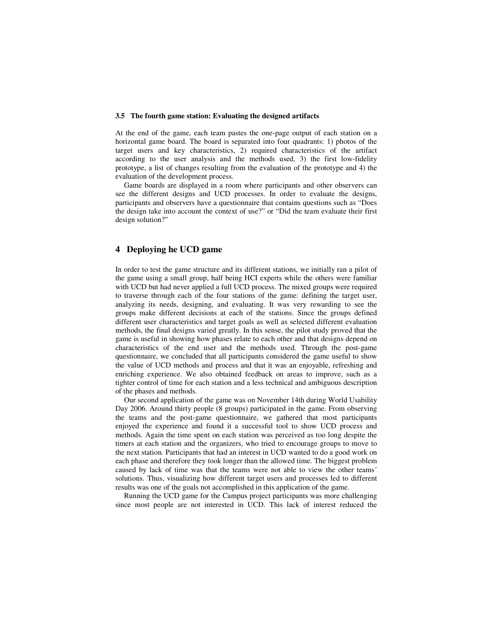## **3.5 The fourth game station: Evaluating the designed artifacts**

At the end of the game, each team pastes the one-page output of each station on a horizontal game board. The board is separated into four quadrants: 1) photos of the target users and key characteristics, 2) required characteristics of the artifact according to the user analysis and the methods used, 3) the first low-fidelity prototype, a list of changes resulting from the evaluation of the prototype and 4) the evaluation of the development process.

Game boards are displayed in a room where participants and other observers can see the different designs and UCD processes. In order to evaluate the designs, participants and observers have a questionnaire that contains questions such as "Does the design take into account the context of use?" or "Did the team evaluate their first design solution?"

# **4 Deploying he UCD game**

In order to test the game structure and its different stations, we initially ran a pilot of the game using a small group, half being HCI experts while the others were familiar with UCD but had never applied a full UCD process. The mixed groups were required to traverse through each of the four stations of the game: defining the target user, analyzing its needs, designing, and evaluating. It was very rewarding to see the groups make different decisions at each of the stations. Since the groups defined different user characteristics and target goals as well as selected different evaluation methods, the final designs varied greatly. In this sense, the pilot study proved that the game is useful in showing how phases relate to each other and that designs depend on characteristics of the end user and the methods used. Through the post-game questionnaire, we concluded that all participants considered the game useful to show the value of UCD methods and process and that it was an enjoyable, refreshing and enriching experience. We also obtained feedback on areas to improve, such as a tighter control of time for each station and a less technical and ambiguous description of the phases and methods.

Our second application of the game was on November 14th during World Usability Day 2006. Around thirty people (8 groups) participated in the game. From observing the teams and the post-game questionnaire, we gathered that most participants enjoyed the experience and found it a successful tool to show UCD process and methods. Again the time spent on each station was perceived as too long despite the timers at each station and the organizers, who tried to encourage groups to move to the next station. Participants that had an interest in UCD wanted to do a good work on each phase and therefore they took longer than the allowed time. The biggest problem caused by lack of time was that the teams were not able to view the other teams´ solutions. Thus, visualizing how different target users and processes led to different results was one of the goals not accomplished in this application of the game.

Running the UCD game for the Campus project participants was more challenging since most people are not interested in UCD. This lack of interest reduced the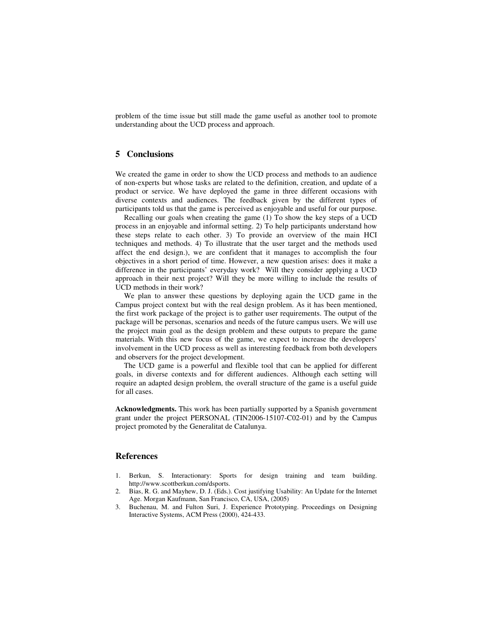problem of the time issue but still made the game useful as another tool to promote understanding about the UCD process and approach.

# **5 Conclusions**

We created the game in order to show the UCD process and methods to an audience of non-experts but whose tasks are related to the definition, creation, and update of a product or service. We have deployed the game in three different occasions with diverse contexts and audiences. The feedback given by the different types of participants told us that the game is perceived as enjoyable and useful for our purpose.

Recalling our goals when creating the game (1) To show the key steps of a UCD process in an enjoyable and informal setting. 2) To help participants understand how these steps relate to each other. 3) To provide an overview of the main HCI techniques and methods. 4) To illustrate that the user target and the methods used affect the end design.), we are confident that it manages to accomplish the four objectives in a short period of time. However, a new question arises: does it make a difference in the participants' everyday work? Will they consider applying a UCD approach in their next project? Will they be more willing to include the results of UCD methods in their work?

We plan to answer these questions by deploying again the UCD game in the Campus project context but with the real design problem. As it has been mentioned, the first work package of the project is to gather user requirements. The output of the package will be personas, scenarios and needs of the future campus users. We will use the project main goal as the design problem and these outputs to prepare the game materials. With this new focus of the game, we expect to increase the developers' involvement in the UCD process as well as interesting feedback from both developers and observers for the project development.

The UCD game is a powerful and flexible tool that can be applied for different goals, in diverse contexts and for different audiences. Although each setting will require an adapted design problem, the overall structure of the game is a useful guide for all cases.

**Acknowledgments.** This work has been partially supported by a Spanish government grant under the project PERSONAL (TIN2006-15107-C02-01) and by the Campus project promoted by the Generalitat de Catalunya.

# **References**

- 1. Berkun, S. Interactionary: Sports for design training and team building. http://www.scottberkun.com/dsports.
- 2. Bias, R. G. and Mayhew, D. J. (Eds.). Cost justifying Usability: An Update for the Internet Age. Morgan Kaufmann, San Francisco, CA, USA, (2005)
- 3. Buchenau, M. and Fulton Suri, J. Experience Prototyping. Proceedings on Designing Interactive Systems, ACM Press (2000), 424-433.